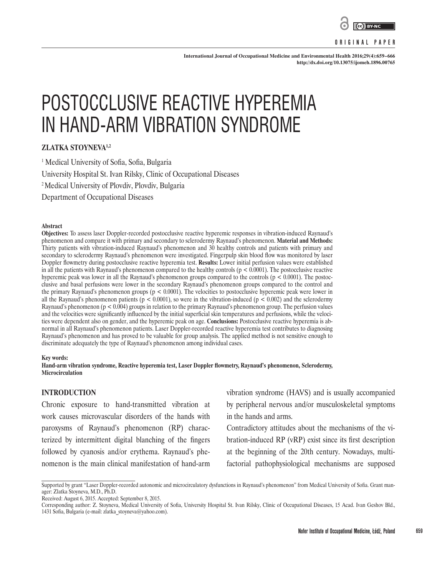

#### **ORIGINAL PAPER**

**International Journal of Occupational Medicine and Environmental Health 2016;29(4):659–666 <http://dx.doi.org/10.13075/ijomeh.1896.00765>**

# POSTOCCLUSIVE REACTIVE HYPEREMIA IN HAND-ARM VIBRATION SYNDROME

# **ZLATKA STOYNEVA1,2**

1 Medical University of Sofia, Sofia, Bulgaria University Hospital St. Ivan Rilsky, Clinic of Occupational Diseases <sup>2</sup> Medical University of Plovdiv, Plovdiv, Bulgaria Department of Occupational Diseases

#### **Abstract**

**Objectives:** To assess laser Doppler-recorded postocclusive reactive hyperemic responses in vibration-induced Raynaud's phenomenon and compare it with primary and secondary to sclerodermy Raynaud's phenomenon. **Material and Methods:** Thirty patients with vibration-induced Raynaud's phenomenon and 30 healthy controls and patients with primary and secondary to sclerodermy Raynaud's phenomenon were investigated. Fingerpulp skin blood flow was monitored by laser Doppler flowmetry during postocclusive reactive hyperemia test. **Results:** Lower initial perfusion values were established in all the patients with Raynaud's phenomenon compared to the healthy controls  $(p < 0.0001)$ . The postocclusive reactive hyperemic peak was lower in all the Raynaud's phenomenon groups compared to the controls  $(p < 0.0001)$ . The postocclusive and basal perfusions were lower in the secondary Raynaud's phenomenon groups compared to the control and the primary Raynaud's phenomenon groups ( $p < 0.0001$ ). The velocities to postocclusive hyperemic peak were lower in all the Raynaud's phenomenon patients ( $p < 0.0001$ ), so were in the vibration-induced ( $p < 0.002$ ) and the sclerodermy Raynaud's phenomenon (p < 0.004) groups in relation to the primary Raynaud's phenomenon group. The perfusion values and the velocities were significantly influenced by the initial superficial skin temperatures and perfusions, while the velocities were dependent also on gender, and the hyperemic peak on age. **Conclusions:** Postocclusive reactive hyperemia is abnormal in all Raynaud's phenomenon patients. Laser Doppler-recorded reactive hyperemia test contributes to diagnosing Raynaud's phenomenon and has proved to be valuable for group analysis. The applied method is not sensitive enough to discriminate adequately the type of Raynaud's phenomenon among individual cases.

#### **Key words:**

**Hand-arm vibration syndrome, Reactive hyperemia test, Laser Doppler flowmetry, Raynaud's phenomenon, Sclerodermy, Microcirculation**

## **INTRODUCTION**

Chronic exposure to hand-transmitted vibration at work causes microvascular disorders of the hands with paroxysms of Raynaud's phenomenon (RP) characterized by intermittent digital blanching of the fingers followed by cyanosis and/or erythema. Raynaud's phenomenon is the main clinical manifestation of hand-arm vibration syndrome (HAVS) and is usually accompanied by peripheral nervous and/or musculoskeletal symptoms in the hands and arms.

Contradictory attitudes about the mechanisms of the vibration-induced RP (vRP) exist since its first description at the beginning of the 20th century. Nowadays, multifactorial pathophysiological mechanisms are supposed

Supported by grant "Laser Doppler-recorded autonomic and microcirculatory dysfunctions in Raynaud's phenomenon" from Medical University of Sofia. Grant manager: Zlatka Stoyneva, M.D., Ph.D.

Received: August 6, 2015. Accepted: September 8, 2015.

Corresponding author: Z. Stoyneva, Medical University of Sofia, University Hospital St. Ivan Rilsky, Clinic of Occupational Diseases, 15 Acad. Ivan Geshov Bld., 1431 Sofia, Bulgaria (e-mail: zlatka\_stoyneva@yahoo.com).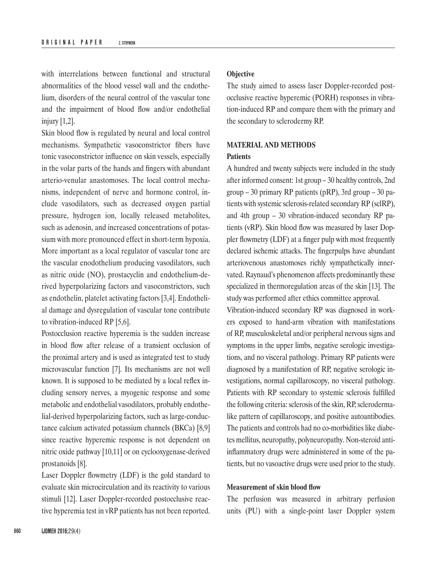with interrelations between functional and structural abnormalities of the blood vessel wall and the endothelium, disorders of the neural control of the vascular tone and the impairment of blood flow and/or endothelial injury [1,2].

Skin blood flow is regulated by neural and local control mechanisms. Sympathetic vasoconstrictor fibers have tonic vasoconstrictor influence on skin vessels, especially in the volar parts of the hands and fingers with abundant arterio-venular anastomoses. The local control mechanisms, independent of nerve and hormone control, include vasodilators, such as decreased oxygen partial pressure, hydrogen ion, locally released metabolites, such as adenosin, and increased concentrations of potassium with more pronounced effect in short-term hypoxia. More important as a local regulator of vascular tone are the vascular enodothelium producing vasodilators, such as nitric oxide (NO), prostacyclin and endothelium-derived hyperpolarizing factors and vasoconstrictors, such as endothelin, platelet activating factors [3,4]. Endothelial damage and dysregulation of vascular tone contribute to vibration-induced RP [5,6].

Postocclusion reactive hyperemia is the sudden increase in blood flow after release of a transient occlusion of the proximal artery and is used as integrated test to study microvascular function [7]. Its mechanisms are not well known. It is supposed to be mediated by a local reflex including sensory nerves, a myogenic response and some metabolic and endothelial vasodilators, probably endothelial-derived hyperpolarizing factors, such as large-conductance calcium activated potassium channels (BKCa) [8,9] since reactive hyperemic response is not dependent on nitric oxide pathway [10,11] or on cyclooxygenase-derived prostanoids [8].

Laser Doppler flowmetry (LDF) is the gold standard to evaluate skin microcirculation and its reactivity to various stimuli [12]. Laser Doppler-recorded postocclusive reactive hyperemia test in vRP patients has not been reported.

#### **Objective**

The study aimed to assess laser Doppler-recorded postocclusive reactive hyperemic (PORH) responses in vibration-induced RP and compare them with the primary and the secondary to sclerodermy RP.

## **MATERIAL AND METHODS Patients**

A hundred and twenty subjects were included in the study after informed consent: 1st group – 30 healthy controls, 2nd group – 30 primary RP patients (pRP), 3rd group – 30 patients with systemic sclerosis-related secondary RP (sclRP), and 4th group – 30 vibration-induced secondary RP patients (vRP). Skin blood flow was measured by laser Doppler flowmetry (LDF) at a finger pulp with most frequently declared ischemic attacks. The fingerpulps have abundant arteriovenous anastomoses richly sympathetically innervated. Raynaud's phenomenon affects predominantly these specialized in thermoregulation areas of the skin [13]. The study was performed after ethics committee approval.

Vibration-induced secondary RP was diagnosed in workers exposed to hand-arm vibration with manifestations of RP, musculoskeletal and/or peripheral nervous signs and symptoms in the upper limbs, negative serologic investigations, and no visceral pathology. Primary RP patients were diagnosed by a manifestation of RP, negative serologic investigations, normal capillaroscopy, no visceral pathology. Patients with RP secondary to systemic sclerosis fulfilled the following criteria: sclerosis of the skin, RP, sclerodermalike pattern of capillaroscopy, and positive autoantibodies. The patients and controls had no co-morbidities like diabetes mellitus, neuropathy, polyneuropathy. Non-steroid antiinflammatory drugs were administered in some of the patients, but no vasoactive drugs were used prior to the study.

## **Measurement of skin blood flow**

The perfusion was measured in arbitrary perfusion units (PU) with a single-point laser Doppler system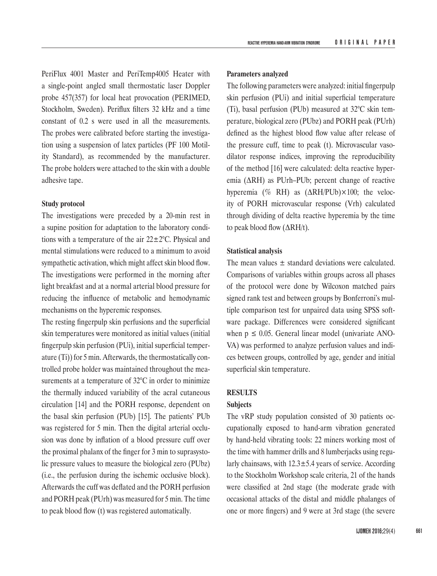PeriFlux 4001 Master and PeriTemp4005 Heater with a single-point angled small thermostatic laser Doppler probe 457(357) for local heat provocation (PERIMED, Stockholm, Sweden). Periflux filters 32 kHz and a time constant of 0.2 s were used in all the measurements. The probes were calibrated before starting the investigation using a suspension of latex particles (PF 100 Motility Standard), as recommended by the manufacturer. The probe holders were attached to the skin with a double adhesive tape.

## **Study protocol**

The investigations were preceded by a 20-min rest in a supine position for adaptation to the laboratory conditions with a temperature of the air  $22 \pm 2^{\circ}$ C. Physical and mental stimulations were reduced to a minimum to avoid sympathetic activation, which might affect skin blood flow. The investigations were performed in the morning after light breakfast and at a normal arterial blood pressure for reducing the influence of metabolic and hemodynamic mechanisms on the hyperemic responses.

The resting fingerpulp skin perfusions and the superficial skin temperatures were monitored as initial values (initial fingerpulp skin perfusion (PUi), initial superficial temperature (Ti)) for 5 min. Afterwards, the thermostatically controlled probe holder was maintained throughout the measurements at a temperature of 32°C in order to minimize the thermally induced variability of the acral cutaneous circulation [14] and the PORH response, dependent on the basal skin perfusion (PUb) [15]. The patients' PUb was registered for 5 min. Then the digital arterial occlusion was done by inflation of a blood pressure cuff over the proximal phalanx of the finger for 3 min to suprasystolic pressure values to measure the biological zero (PUbz) (i.e., the perfusion during the ischemic occlusive block). Afterwards the cuff was deflated and the PORH perfusion and PORH peak (PUrh) was measured for 5 min. The time to peak blood flow (t) was registered automatically.

#### **Parameters analyzed**

The following parameters were analyzed: initial fingerpulp skin perfusion (PUi) and initial superficial temperature (Ti), basal perfusion (PUb) measured at 32°C skin temperature, biological zero (PUbz) and PORH peak (PUrh) defined as the highest blood flow value after release of the pressure cuff, time to peak (t). Microvascular vasodilator response indices, improving the reproducibility of the method [16] were calculated: delta reactive hyperemia (ΔRH) as PUrh–PUb; percent change of reactive hyperemia (% RH) as (ΔRH/PUb)×100; the velocity of PORH microvascular response (Vrh) calculated through dividing of delta reactive hyperemia by the time to peak blood flow  $(\Delta RH/t)$ .

#### **Statistical analysis**

The mean values  $\pm$  standard deviations were calculated. Comparisons of variables within groups across all phases of the protocol were done by Wilcoxon matched pairs signed rank test and between groups by Bonferroni's multiple comparison test for unpaired data using SPSS software package. Differences were considered significant when  $p \le 0.05$ . General linear model (univariate ANO-VA) was performed to analyze perfusion values and indices between groups, controlled by age, gender and initial superficial skin temperature.

#### **RESULTS**

#### **Subjects**

The vRP study population consisted of 30 patients occupationally exposed to hand-arm vibration generated by hand-held vibrating tools: 22 miners working most of the time with hammer drills and 8 lumberjacks using regularly chainsaws, with  $12.3 \pm 5.4$  years of service. According to the Stockholm Workshop scale criteria, 21 of the hands were classified at 2nd stage (the moderate grade with occasional attacks of the distal and middle phalanges of one or more fingers) and 9 were at 3rd stage (the severe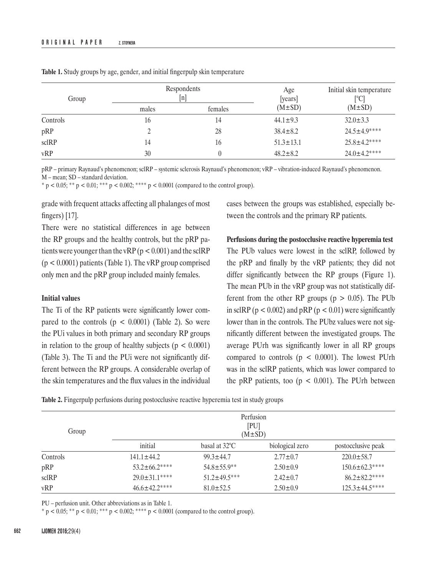| Group    | Respondents<br> n |         | Age<br>[years]  | Initial skin temperature<br><sup>[°C]</sup> |  |
|----------|-------------------|---------|-----------------|---------------------------------------------|--|
|          | males             | females | $(M \pm SD)$    | $(M \pm SD)$                                |  |
| Controls | 16                | 14      | $44.1 \pm 9.3$  | $32.0 \pm 3.3$                              |  |
| pRP      |                   | 28      | $38.4 \pm 8.2$  | $24.5 + 4.9***$                             |  |
| sclRP    | 14                | 16      | $51.3 \pm 13.1$ | $25.8 \pm 4.2***$                           |  |
| vRP      | 30                |         | $48.2 \pm 8.2$  | $24.0 \pm 4.2***$                           |  |

**Table 1.** Study groups by age, gender, and initial fingerpulp skin temperature

pRP – primary Raynaud's phenomenon; sclRP – systemic sclerosis Raynaud's phenomenon; vRP – vibration-induced Raynaud's phenomenon. M – mean; SD – standard deviation.

\*  $p < 0.05$ ; \*\*  $p < 0.01$ ; \*\*\*  $p < 0.002$ ; \*\*\*\*  $p < 0.0001$  (compared to the control group).

grade with frequent attacks affecting all phalanges of most fingers) [17].

There were no statistical differences in age between the RP groups and the healthy controls, but the pRP patients were younger than the vRP ( $p < 0.001$ ) and the sclRP  $(p < 0.0001)$  patients (Table 1). The vRP group comprised only men and the pRP group included mainly females.

## **Initial values**

The Ti of the RP patients were significantly lower compared to the controls  $(p < 0.0001)$  (Table 2). So were the PUi values in both primary and secondary RP groups in relation to the group of healthy subjects ( $p < 0.0001$ ) (Table 3). The Ti and the PUi were not significantly different between the RP groups. A considerable overlap of the skin temperatures and the flux values in the individual

cases between the groups was established, especially between the controls and the primary RP patients.

**Perfusions during the postocclusive reactive hyperemia test** The PUb values were lowest in the sclRP, followed by the pRP and finally by the vRP patients; they did not differ significantly between the RP groups (Figure 1). The mean PUb in the vRP group was not statistically different from the other RP groups ( $p > 0.05$ ). The PUb in sclRP ( $p < 0.002$ ) and  $pRP$  ( $p < 0.01$ ) were significantly lower than in the controls. The PUbz values were not significantly different between the investigated groups. The average PUrh was significantly lower in all RP groups compared to controls  $(p < 0.0001)$ . The lowest PUrh was in the sclRP patients, which was lower compared to the pRP patients, too ( $p < 0.001$ ). The PUrh between

**Table 2.** Fingerpulp perfusions during postocclusive reactive hyperemia test in study groups

| Group    | Perfusion<br>[PU]<br>$(M \pm SD)$ |                         |                 |                     |  |
|----------|-----------------------------------|-------------------------|-----------------|---------------------|--|
|          | initial                           | basal at $32^{\circ}$ C | biological zero | postocclusive peak  |  |
| Controls | $141.1 \pm 44.2$                  | $99.3 \pm 44.7$         | $2.77 \pm 0.7$  | $220.0 \pm 58.7$    |  |
| pRP      | $53.2 \pm 66.2***$                | $54.8 + 55.9**$         | $2.50 \pm 0.9$  | $150.6 \pm 62.3***$ |  |
| sclRP    | $29.0 + 31.1***$                  | $51.2 + 49.5***$        | $2.42 \pm 0.7$  | $86.2 \pm 82.2***$  |  |
| vRP      | $46.6 \pm 42.2$ ****              | $81.0 \pm 52.5$         | $2.50 \pm 0.9$  | $125.3 \pm 44.5***$ |  |

PU – perfusion unit. Other abbreviations as in Table 1.

 $* p < 0.05; ** p < 0.01; *** p < 0.002; *** p < 0.0001$  (compared to the control group).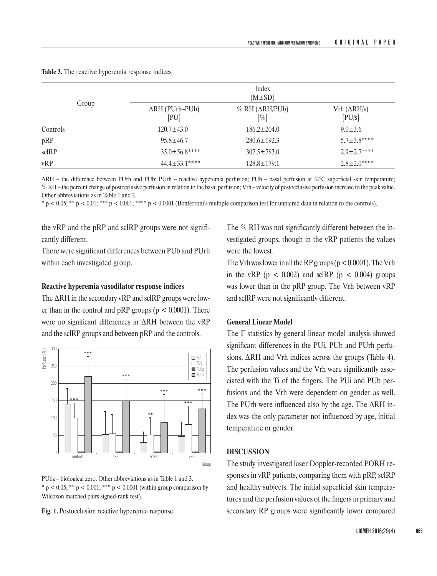|          | Index<br>$(M \pm SD)$          |                                                                        |                               |  |  |
|----------|--------------------------------|------------------------------------------------------------------------|-------------------------------|--|--|
| Group    | $\Delta RH$ (PUrh–PUb)<br>[PU] | $% RH(\Delta RH/PUb)$<br>[%]<br>$186.2 \pm 204.0$<br>$280.6 \pm 192.3$ | Vrh $(\Delta RH/s)$<br>[PU/s] |  |  |
| Controls | $120.7 \pm 43.0$               |                                                                        | $9.0 \pm 3.6$                 |  |  |
| pRP      | $95.8 \pm 46.7$                |                                                                        | $5.7 \pm 3.8***$              |  |  |
| sclRP    | $35.0 \pm 56.8***$             | $307.5 \pm 783.0$                                                      | $2.9 \pm 2.7***$              |  |  |
| vRP      | $44.4 \pm 33.1***$             | $128.8 \pm 179.1$                                                      | $2.8 \pm 2.0***$              |  |  |

**Table 3.** The reactive hyperemia response indices

ΔRH – the difference between PUrh and PUb; PUrh – reactive hyperemia perfusion; PUb – basal perfusion at 32°C superficial skin temperature; % RH – the percent change of postocclusive perfusion in relation to the basal perfusion; Vrh – velocity of postocclusive perfusion increase to the peak value. Other abbreviations as in Table 1 and 2.

 $p < 0.05$ ; \*\*  $p < 0.01$ ; \*\*\*  $p < 0.001$ ; \*\*\*\*  $p < 0.0001$  (Bonferroni's multiple comparison test for unpaired data in relation to the controls).

the vRP and the pRP and sclRP groups were not significantly different.

There were significant differences between PUb and PUrh within each investigated group.

## **Reactive hyperemia vasodilator response indices**

The ΔRH in the secondary vRP and sclRP groups were lower than in the control and  $pRP$  groups ( $p < 0.0001$ ). There were no significant differences in ΔRH between the vRP and the sclRP groups and between pRP and the controls.



PUbz – biological zero. Other abbreviations as in Table 1 and 3.  $* p < 0.05$ ; \*\*  $p < 0.001$ ; \*\*\*  $p < 0.0001$  (within group comparison by Wilcoxon matched pairs signed-rank test).

**Fig. 1.** Postocclusion reactive hyperemia response

The % RH was not significantly different between the investigated groups, though in the vRP patients the values were the lowest.

The Vrh was lower in all the RP groups ( $p < 0.0001$ ). The Vrh in the vRP ( $p < 0.002$ ) and sclRP ( $p < 0.004$ ) groups was lower than in the pRP group. The Vrh between vRP and sclRP were not significantly different.

#### **General Linear Model**

The F statistics by general linear model analysis showed significant differences in the PUi, PUb and PUrh perfusions, ΔRH and Vrh indices across the groups (Table 4). The perfusion values and the Vrh were significantly associated with the Ti of the fingers. The PUi and PUb perfusions and the Vrh were dependent on gender as well. The PUrh were influenced also by the age. The ΔRH index was the only parameter not influenced by age, initial temperature or gender.

## **DISCUSSION**

The study investigated laser Doppler-recorded PORH responses in vRP patients, comparing them with pRP, sclRP and healthy subjects. The initial superficial skin temperatures and the perfusion values of the fingers in primary and secondary RP groups were significantly lower compared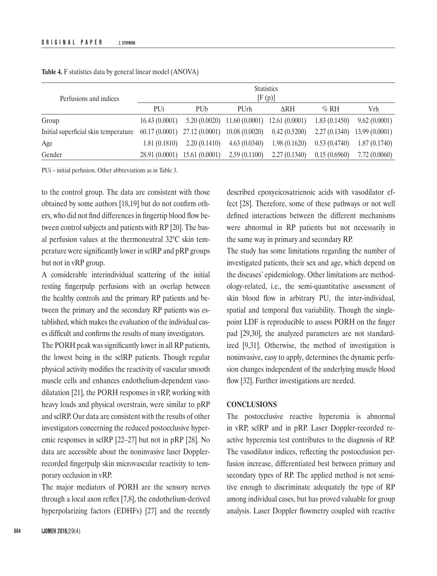| Perfusions and indices               | <b>Statistics</b><br>[F(p)] |               |                                                  |              |              |                                 |
|--------------------------------------|-----------------------------|---------------|--------------------------------------------------|--------------|--------------|---------------------------------|
|                                      | <b>PUi</b>                  | PUb           | <b>PU<sub>rh</sub></b>                           | ∆RH          | $\%$ RH      | Vrh                             |
| Group                                | 16.43(0.0001)               |               | $5.20(0.0020)$ 11.60 $(0.0001)$ 12.61 $(0.0001)$ |              | 1.83(0.1450) | 9.62(0.0001)                    |
| Initial superficial skin temperature |                             |               | $60.17(0.0001)$ $27.12(0.0001)$ $10.08(0.0020)$  | 0.42(0.5200) |              | $2.27(0.1340)$ 13.99 $(0.0001)$ |
| Age                                  | 1.81(0.1810)                | 2.20(0.1410)  | 4.63(0.0340)                                     | 1.98(0.1620) | 0.53(0.4740) | 1.87(0.1740)                    |
| Gender                               | 28.91 (0.0001)              | 15.61(0.0001) | 2.59(0.1100)                                     | 2.27(0.1340) | 0.15(0.6960) | 7.72(0.0060)                    |

**Table 4.** F statistics data by general linear model (ANOVA)

PUi – initial perfusion. Other abbreviations as in Table 3.

to the control group. The data are consistent with those obtained by some authors [18,19] but do not confirm others, who did not find differences in fingertip blood flow between control subjects and patients with RP [20]. The basal perfusion values at the thermoneutral 32°С skin temperature were significantly lower in sclRP and pRP groups but not in vRP group.

A considerable interindividual scattering of the initial resting fingerpulp perfusions with an overlap between the healthy controls and the primary RP patients and between the primary and the secondary RP patients was established, which makes the evaluation of the individual cases difficult and confirms the results of many investigators.

The PORH peak was significantly lower in all RP patients, the lowest being in the sclRP patients. Though regular physical activity modifies the reactivity of vascular smooth muscle cells and enhances endothelium-dependent vasodilatation [21], the PORH responses in vRP, working with heavy loads and physical overstrain, were similar to pRP and sclRP. Our data are consistent with the results of other investigators concerning the reduced postocclusive hyperemic responses in sclRP [22–27] but not in pRP [28]. No data are accessible about the noninvasive laser Dopplerrecorded fingerpulp skin microvascular reactivity to temporary occlusion in vRP.

The major mediators of PORH are the sensory nerves through a local axon reflex [7,8], the endothelium-derived hyperpolarizing factors (EDHFs) [27] and the recently described epoxyeicosatrienoic acids with vasodilator effect [28]. Therefore, some of these pathways or not well defined interactions between the different mechanisms were abnormal in RP patients but not necessarily in the same way in primary and secondary RP.

The study has some limitations regarding the number of investigated patients, their sex and age, which depend on the diseases' epidemiology. Other limitations are methodology-related, i.e., the semi-quantitative assessment of skin blood flow in arbitrary PU, the inter-individual, spatial and temporal flux variability. Though the singlepoint LDF is reproducible to assess PORH on the finger pad [29,30], the analyzed parameters are not standardized [9,31]. Otherwise, the method of investigation is noninvasive, easy to apply, determines the dynamic perfusion changes independent of the underlying muscle blood flow [32]. Further investigations are needed.

#### **CONCLUSIONS**

The postocclusive reactive hyperemia is abnormal in vRP, sclRP and in pRP. Laser Doppler-recorded reactive hyperemia test contributes to the diagnosis of RP. The vasodilator indices, reflecting the postocclusion perfusion increase, differentiated best between primary and secondary types of RP. The applied method is not sensitive enough to discriminate adequately the type of RP among individual cases, but has proved valuable for group analysis. Laser Doppler flowmetry coupled with reactive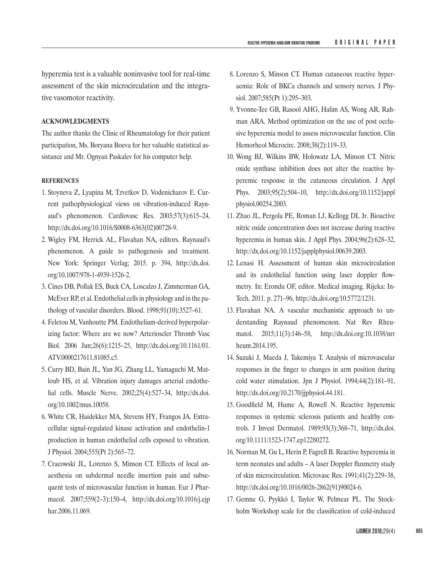hyperemia test is a valuable noninvasive tool for real-time assessment of the skin microcirculation and the integrative vasomotor reactivity.

## **ACKNOWLEDGMENTS**

The author thanks the Clinic of Rheumatology for their patient participation, Ms. Boryana Boeva for her valuable statistical assistance and Mr. Ognyan Paskalev for his computer help.

#### **REFERENCES**

- 1. Stoyneva Z, Lyapina M, Tzvetkov D, Vodenicharov E. Current pathophysiological views on vibration-induced Raynaud's phenomenon. Cardiovasc Res. 2003;57(3):615–24, [http://dx.doi.org/10.1016/S0008-6363\(02\)00728-9](http://dx.doi.org/10.1016/S0008-6363%2802%2900728-9).
- 2. Wigley FM, Herrick AL, Flavahan NA, editors. Raynaud's phenomenon. A guide to pathogenesis and treatment. New York: Springer Verlag; 2015. p. 394, [http://dx.doi.](http://dx.doi.org/10.1007/978-1-4939-1526-2) [org/10.1007/978-1-4939-1526-2](http://dx.doi.org/10.1007/978-1-4939-1526-2).
- 3. Cines DB, Pollak ES, Buck CA, Loscalzo J, Zimmerman GA, McEver RP, et al. Endothelial cells in physiology and in the pathology of vascular disorders. Blood. 1998;91(10):3527–61.
- 4. Feletou M, Vanhoutte PM. Endothelium-derived hyperpolarizing factor: Where are we now? Arterioscler Thromb Vasc Biol. 2006 Jun;26(6):1215–25, [http://dx.doi.org/10.1161/01.](http://dx.doi.org/10.1161/01.ATV.0000217611.81085.c5) [ATV.0000217611.81085.c5](http://dx.doi.org/10.1161/01.ATV.0000217611.81085.c5).
- 5. Curry BD, Bain JL, Yan JG, Zhang LL, Yamaguchi M, Matloub HS, et al. Vibration injury damages arterial endothelial cells. Muscle Nerve. 2002;25(4):527–34, [http://dx.doi.](http://dx.doi.org/10.1002/mus.10058) [org/10.1002/mus.10058](http://dx.doi.org/10.1002/mus.10058).
- 6. White CR, Haidekker MA, Stevens HY, Frangos JA. Extracellular signal-regulated kinase activation and endothelin-1 production in human endothelial cells exposed to vibration. J Physiol. 2004;555(Pt 2):565–72.
- 7. Cracowski JL, Lorenzo S, Minson CT. Effects of local anaesthesia on subdermal needle insertion pain and subsequent tests of microvascular function in human. Eur J Pharmacol. 2007;559(2–3):150–4, [http://dx.doi.org/10.1016/j.ejp](http://dx.doi.org/10.1016/j.ejphar.2006.11.069) [har.2006.11.069](http://dx.doi.org/10.1016/j.ejphar.2006.11.069).
- 8. Lorenzo S, Minson CT. Human cutaneous reactive hyperaemia: Role of BKCa channels and sensory nerves. J Physiol. 2007;585(Pt 1):295–303.
- 9. Yvonne-Tee GB, Rasool AHG, Halim AS, Wong AR, Rahman ARA. Method optimization on the use of post occlusive hyperemia model to assess microvascular function. Clin Hemorheol Microcirc. 2008;38(2):119–33.
- 10. Wong BJ, Wilkins BW, Holowatz LA, Minson CT. Nitric oxide synthase inhibition does not alter the reactive hyperemic response in the cutaneous circulation. J Appl Phys. 2003;95(2):504–10, [http://dx.doi.org/10.1152/jappl](http://dx.doi.org/10.1152/japplphysiol.00254.2003) [physiol.00254.2003](http://dx.doi.org/10.1152/japplphysiol.00254.2003).
- 11. Zhao JL, Pergola PE, Roman LJ, Kellogg DL Jr. Bioactive nitric oxide concentration does not increase during reactive hyperemia in human skin. J Appl Phys. 2004;96(2):628–32, <http://dx.doi.org/10.1152/japplphysiol.00639.2003>.
- 12. Lenasi H. Assessment of human skin microcirculation and its endothelial function using laser doppler flowmetry. In: Erondu OF, editor. Medical imaging. Rijeka: In-Tech. 2011. p. 271–96, <http://dx.doi.org/10.5772/1231>.
- 13. Flavahan NA. A vascular mechanistic approach to understanding Raynaud phenomenon. Nat Rev Rheumatol. 2015;11(3):146–58, [http://dx.doi.org:10.1038/nrr](http://dx.doi.org:10.1038/nrrheum.2014.195) [heum.2014.195](http://dx.doi.org:10.1038/nrrheum.2014.195).
- 14. Suzuki J, Maeda J, Takemiya T. Analysis of microvascular responses in the finger to changes in arm position during cold water stimulation. Jpn J Physiol. 1994;44(2):181–91, <http://dx.doi.org/10.2170/jjphysiol.44.181>.
- 15. Goodfield M, Hume A, Rowell N. Reactive hyperemic responses in systemic sclerosis patients and healthy controls. J Invest Dermatol. 1989;93(3):368–71, [http://dx.doi.](http://dx.doi.org/10.1111/1523-1747.ep12280272) [org/10.1111/1523-1747.ep12280272](http://dx.doi.org/10.1111/1523-1747.ep12280272).
- 16. Norman M, Gu L, Herin P, Fagrell B. Reactive hyperemia in term neonates and adults – A laser Doppler fluxmetry study of skin microcirculation. Microvasc Res. 1991;41(2):229–38, [http://dx.doi.org/10.1016/0026-2862\(91\)90024-6](http://dx.doi.org/10.1016/0026-2862%2891%2990024-6).
- 17. Gemne G, Pyykkö I, Taylor W, Pelmear PL. The Stockholm Workshop scale for the classification of cold-induced